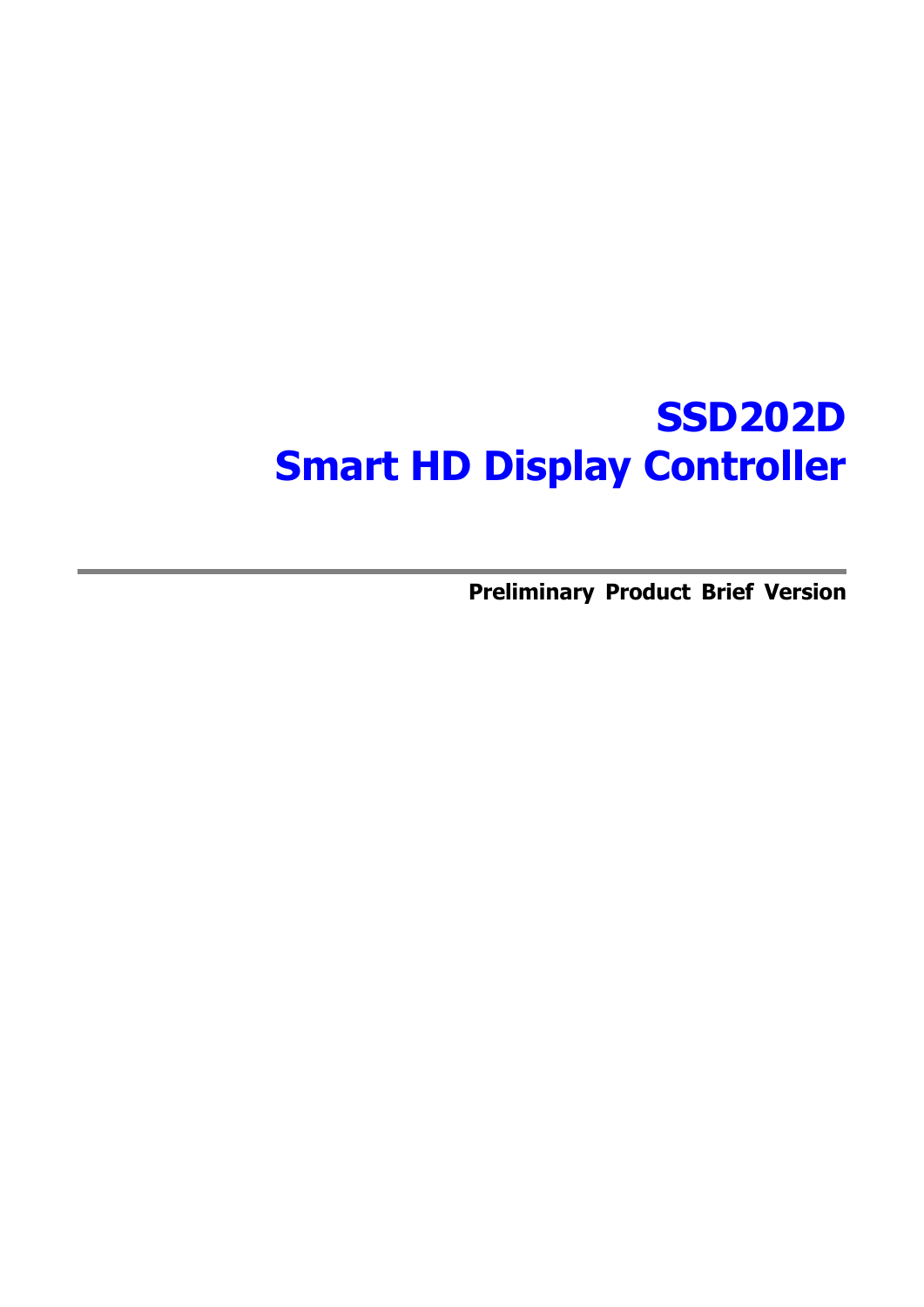## **SSD202D Smart HD Display Controller**

**Preliminary Product Brief Version**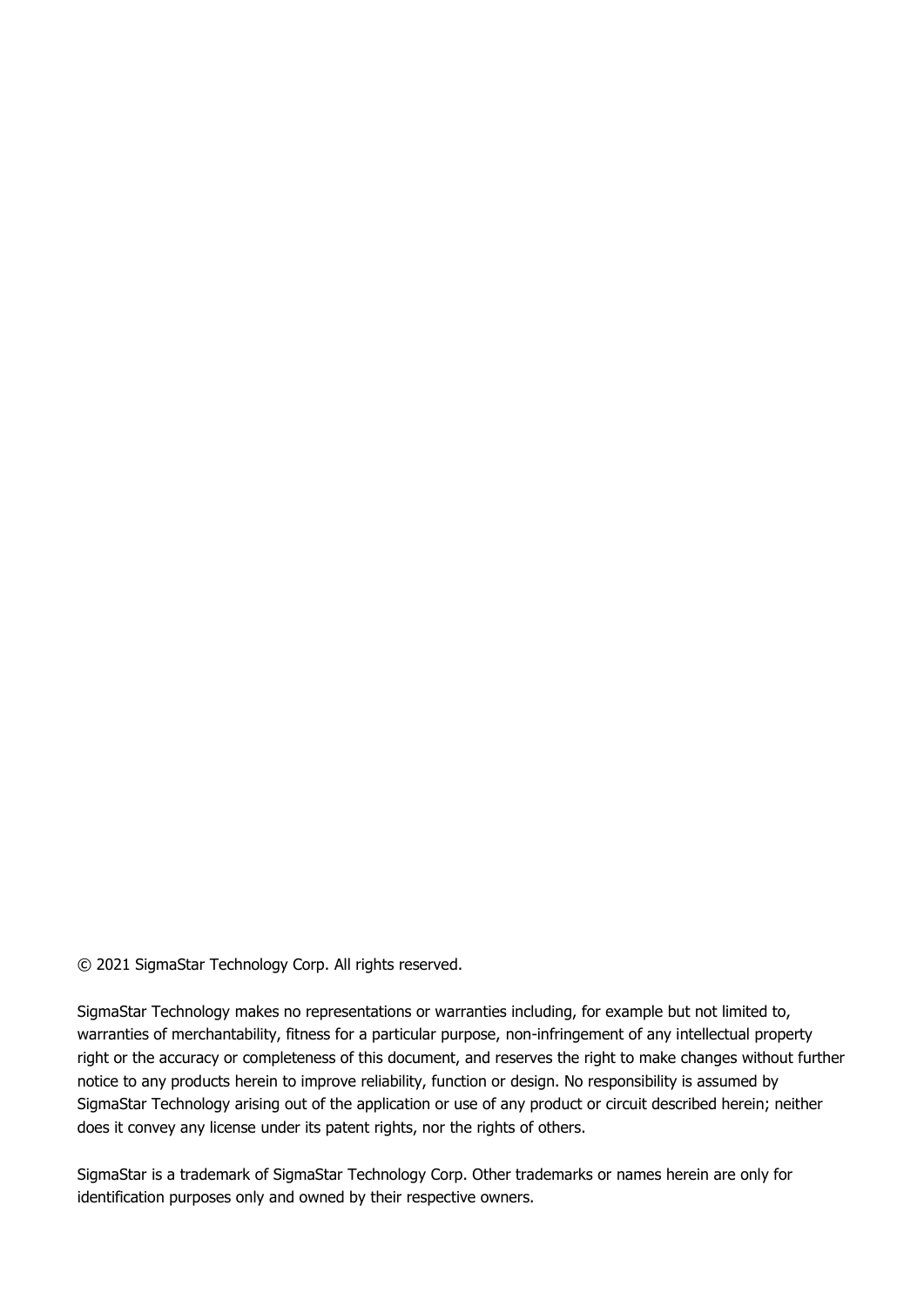© 2021 SigmaStar Technology Corp. All rights reserved.

SigmaStar Technology makes no representations or warranties including, for example but not limited to, warranties of merchantability, fitness for a particular purpose, non-infringement of any intellectual property right or the accuracy or completeness of this document, and reserves the right to make changes without further notice to any products herein to improve reliability, function or design. No responsibility is assumed by SigmaStar Technology arising out of the application or use of any product or circuit described herein; neither does it convey any license under its patent rights, nor the rights of others.

SigmaStar is a trademark of SigmaStar Technology Corp. Other trademarks or names herein are only for identification purposes only and owned by their respective owners.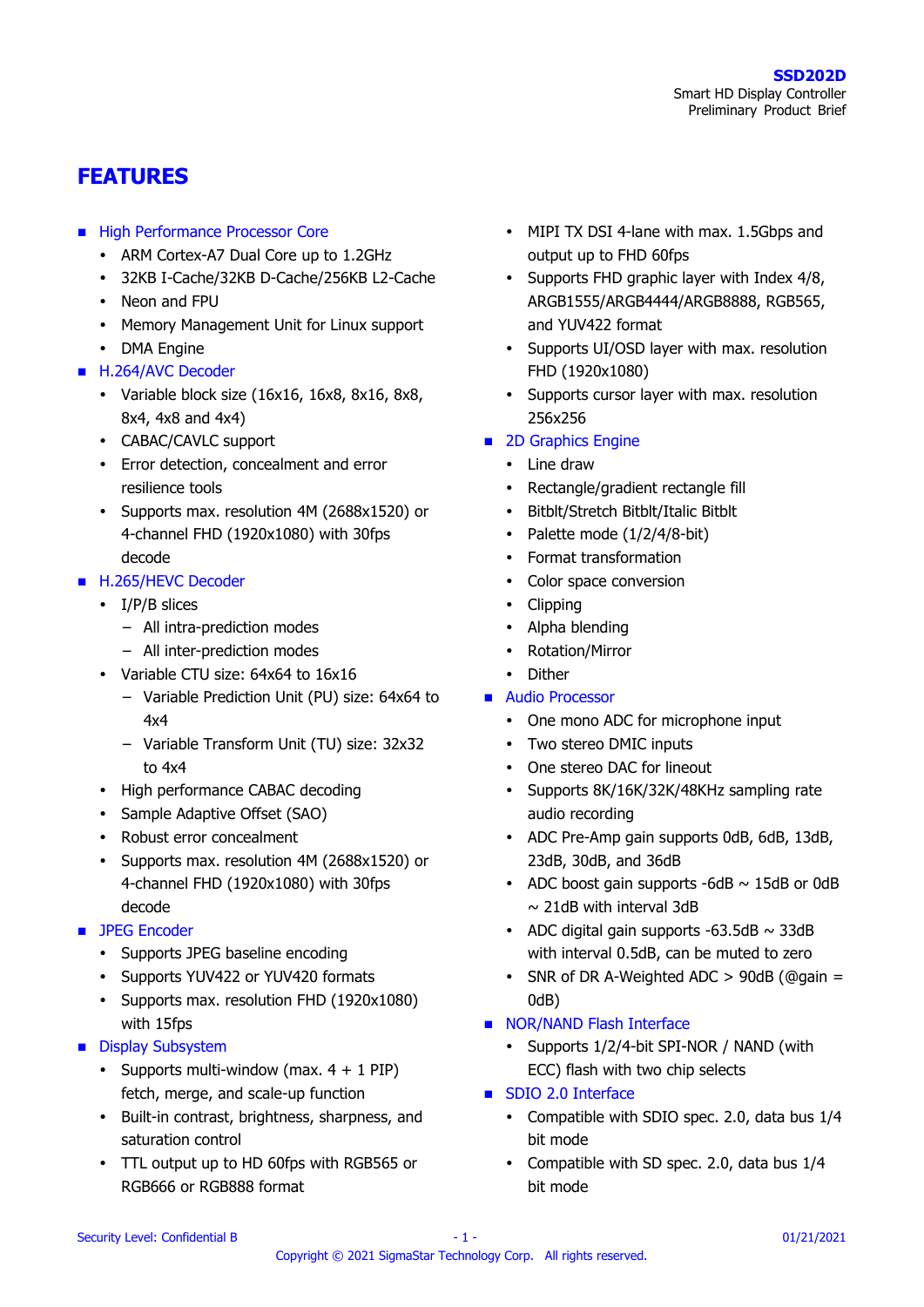## **FEATURES**

- **High Performance Processor Core** 
	- ARM Cortex-A7 Dual Core up to 1.2GHz
	- 32KB I-Cache/32KB D-Cache/256KB L2-Cache
	- Neon and FPU
	- Memory Management Unit for Linux support
	- DMA Engine
- H.264/AVC Decoder
	- Variable block size  $(16x16, 16x8, 8x16, 8x8,$ 8x4, 4x8 and 4x4)
	- CABAC/CAVLC support
	- Error detection, concealment and error resilience tools
	- Supports max. resolution 4M (2688x1520) or 4-channel FHD (1920x1080) with 30fps decode
- H.265/HEVC Decoder
	- I/P/B slices
		- − All intra-prediction modes
		- − All inter-prediction modes
	- Variable CTU size: 64x64 to 16x16
		- − Variable Prediction Unit (PU) size: 64x64 to 4x4
		- − Variable Transform Unit (TU) size: 32x32 to 4x4
	- High performance CABAC decoding
	- Sample Adaptive Offset (SAO)
	- Robust error concealment
	- Supports max. resolution 4M (2688x1520) or 4-channel FHD (1920x1080) with 30fps decode
- **JPEG Encoder** 
	- Supports JPEG baseline encoding
	- Supports YUV422 or YUV420 formats
	- Supports max. resolution FHD (1920x1080) with 15fps
- **Display Subsystem** 
	- Supports multi-window (max.  $4 + 1$  PIP) fetch, merge, and scale-up function
	- Built-in contrast, brightness, sharpness, and saturation control
	- TTL output up to HD 60fps with RGB565 or RGB666 or RGB888 format
- MIPI TX DSI 4-lane with max. 1.5Gbps and output up to FHD 60fps
- Supports FHD graphic layer with Index 4/8, ARGB1555/ARGB4444/ARGB8888, RGB565, and YUV422 format
- Supports UI/OSD layer with max. resolution FHD (1920x1080)
- Supports cursor layer with max. resolution 256x256
- 2D Graphics Engine
	- Line draw
	- Rectangle/gradient rectangle fill
	- Bitblt/Stretch Bitblt/Italic Bitblt
	- Palette mode  $(1/2/4/8$ -bit)
	- Format transformation
	- Color space conversion
	- Clipping
	- Alpha blending
	- Rotation/Mirror
	- Dither
- **Audio Processor** 
	- One mono ADC for microphone input
	- Two stereo DMIC inputs
	- One stereo DAC for lineout
	- Supports 8K/16K/32K/48KHz sampling rate audio recording
	- ADC Pre-Amp gain supports 0dB, 6dB, 13dB, 23dB, 30dB, and 36dB
	- ADC boost gain supports  $-6dB \sim 15dB$  or 0dB  $\sim$  21dB with interval 3dB
	- ADC digital gain supports  $-63.5dB \sim 33dB$ with interval 0.5dB, can be muted to zero
	- SNR of DR A-Weighted ADC  $> 90$ dB (@gain = 0dB)
- NOR/NAND Flash Interface
	- Supports 1/2/4-bit SPI-NOR / NAND (with ECC) flash with two chip selects
- **SDIO 2.0 Interface** 
	- Compatible with SDIO spec. 2.0, data bus 1/4 bit mode
	- Compatible with SD spec. 2.0, data bus 1/4 bit mode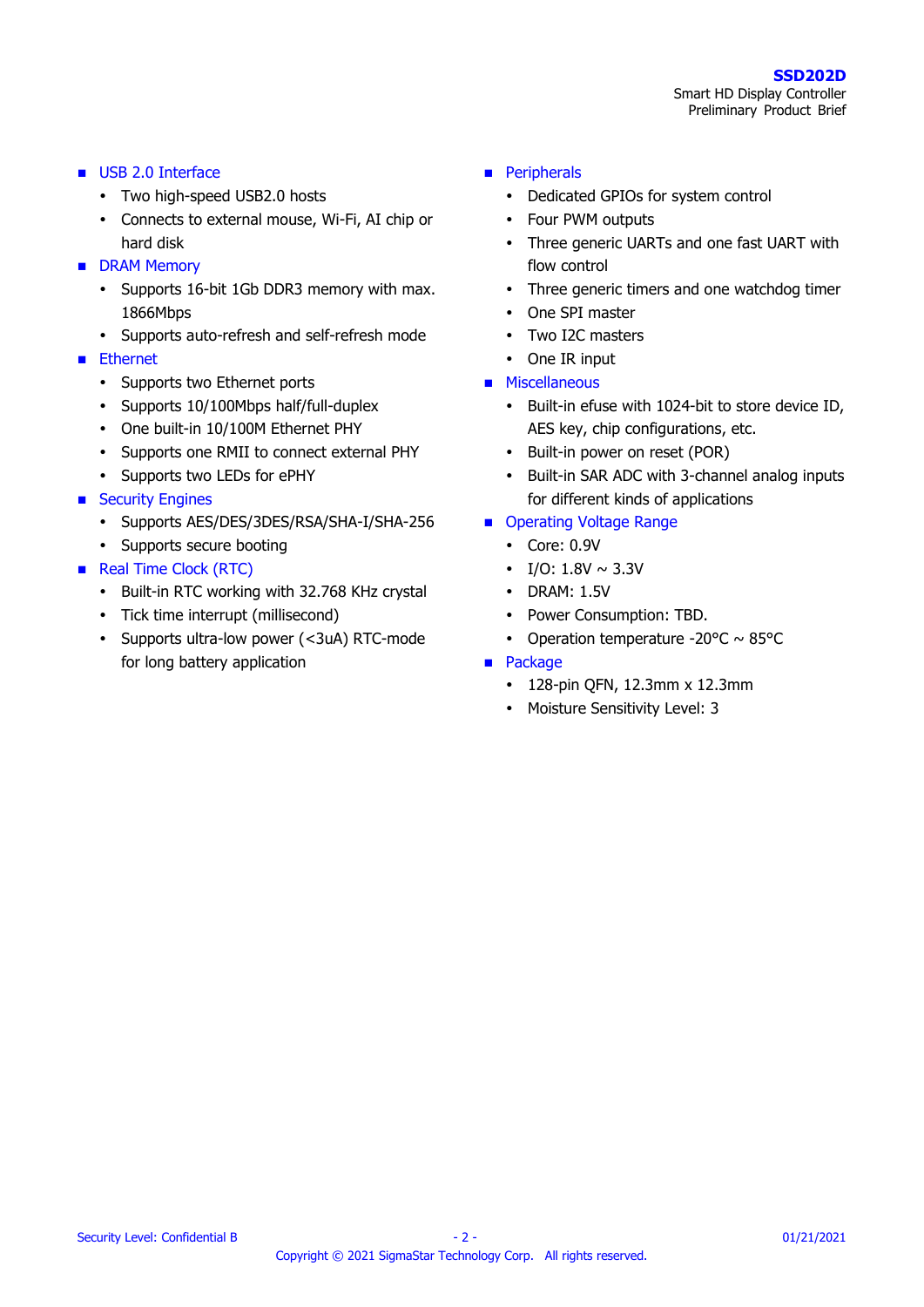- USB 2.0 Interface
	- Two high-speed USB2.0 hosts
	- Connects to external mouse, Wi-Fi, AI chip or hard disk
- **DRAM Memory** 
	- Supports 16-bit 1Gb DDR3 memory with max. 1866Mbps
	- Supports auto-refresh and self-refresh mode
- **Ethernet** 
	- Supports two Ethernet ports
	- Supports 10/100Mbps half/full-duplex
	- One built-in 10/100M Ethernet PHY
	- Supports one RMII to connect external PHY
	- Supports two LEDs for ePHY
- **Security Engines** 
	- Supports AES/DES/3DES/RSA/SHA-I/SHA-256
	- Supports secure booting
- Real Time Clock (RTC)
	- Built-in RTC working with 32.768 KHz crystal
	- Tick time interrupt (millisecond)
	- Supports ultra-low power (<3uA) RTC-mode for long battery application
- **Peripherals** 
	- Dedicated GPIOs for system control
	- Four PWM outputs
	- Three generic UARTs and one fast UART with flow control
	- Three generic timers and one watchdog timer
	- One SPI master
	- Two I2C masters
	- One IR input
- **Miscellaneous** 
	- Built-in efuse with 1024-bit to store device ID, AES key, chip configurations, etc.
	- Built-in power on reset (POR)
	- Built-in SAR ADC with 3-channel analog inputs for different kinds of applications
- Operating Voltage Range
	- Core: 0.9V
	- I/O:  $1.8V \sim 3.3V$
	- DRAM: 1.5V
	- Power Consumption: TBD.
	- Operation temperature -20 $\degree$ C ~ 85 $\degree$ C
- **Package** 
	- 128-pin QFN, 12.3mm x 12.3mm
	- Moisture Sensitivity Level: 3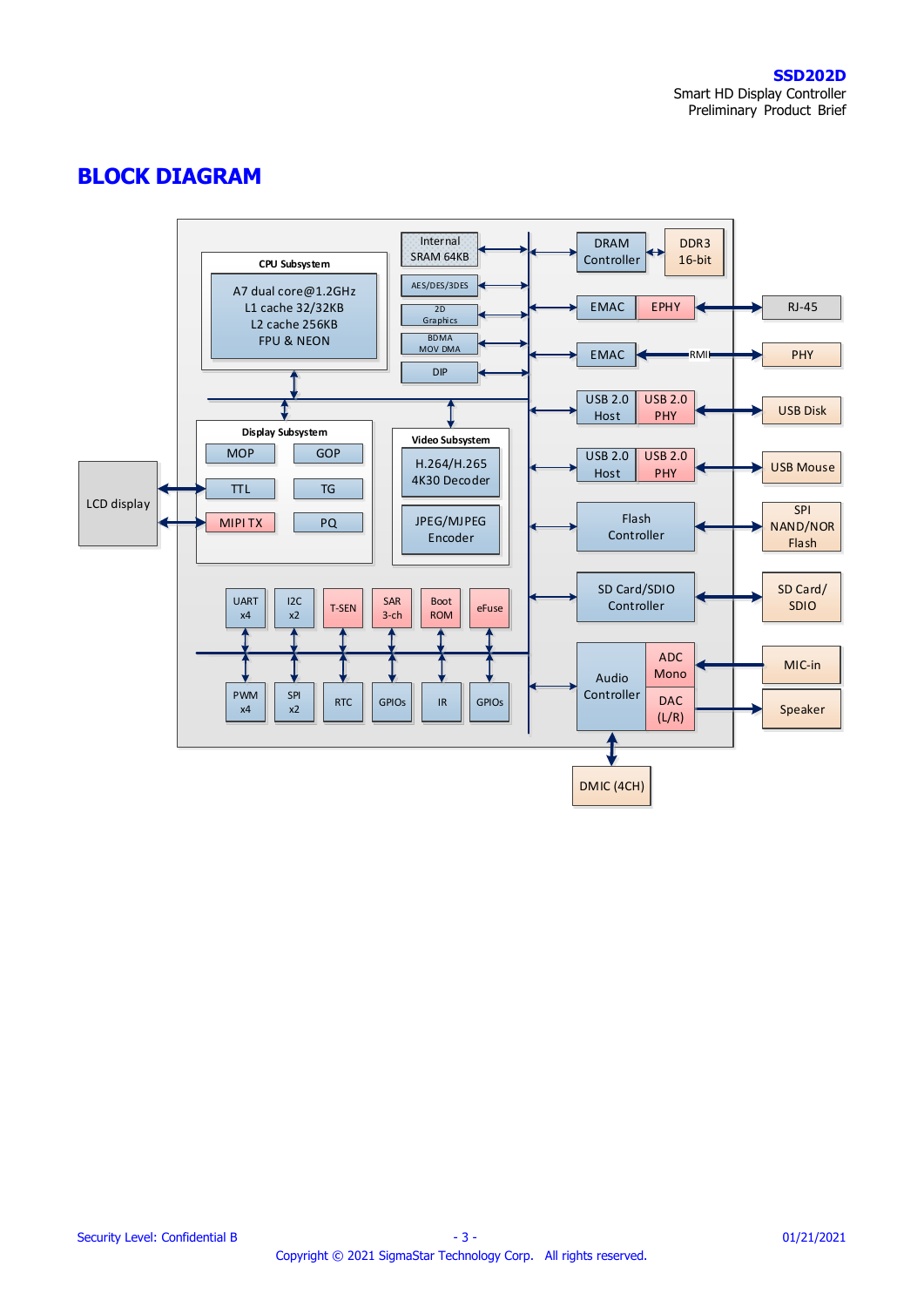## **BLOCK DIAGRAM**